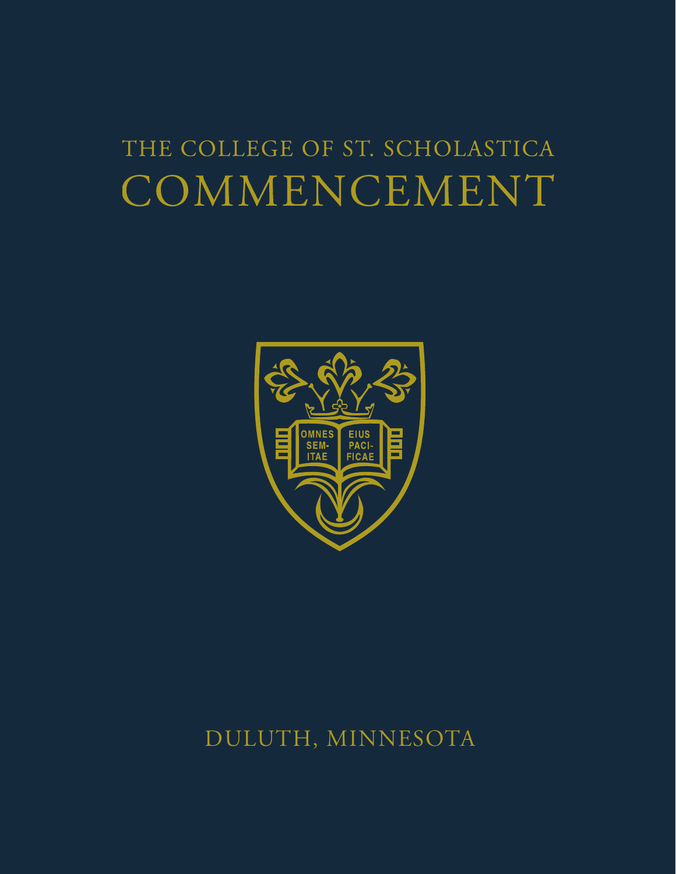# THE COLLEGE OF ST. SCHOLASTICA COMMENCEMENT



## DULUTH, MINNESOTA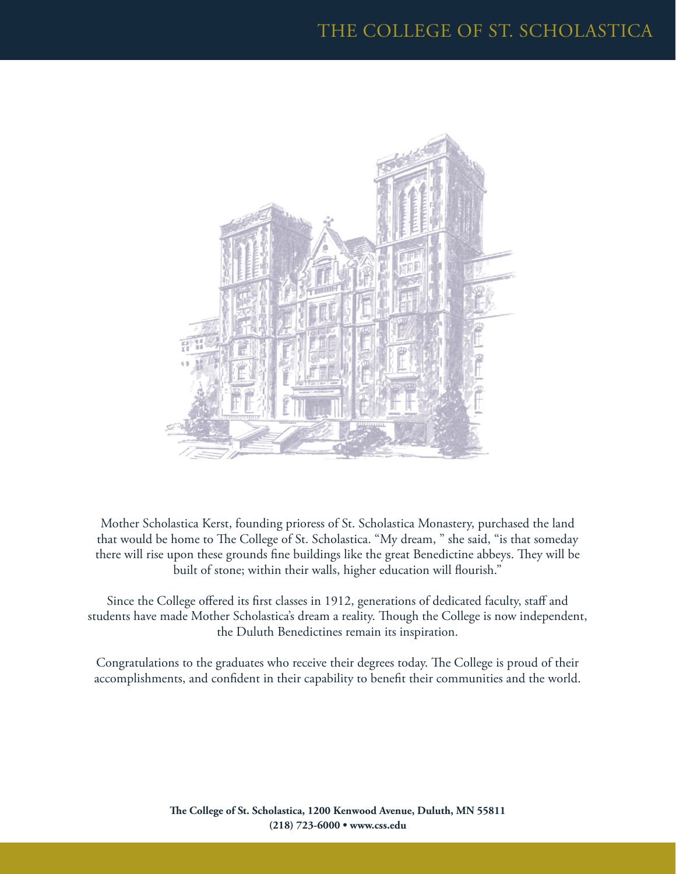

Mother Scholastica Kerst, founding prioress of St. Scholastica Monastery, purchased the land that would be home to The College of St. Scholastica. "My dream, " she said, "is that someday there will rise upon these grounds fine buildings like the great Benedictine abbeys. They will be built of stone; within their walls, higher education will flourish."

Since the College offered its first classes in 1912, generations of dedicated faculty, staff and students have made Mother Scholastica's dream a reality. Though the College is now independent, the Duluth Benedictines remain its inspiration.

Congratulations to the graduates who receive their degrees today. The College is proud of their accomplishments, and confident in their capability to benefit their communities and the world.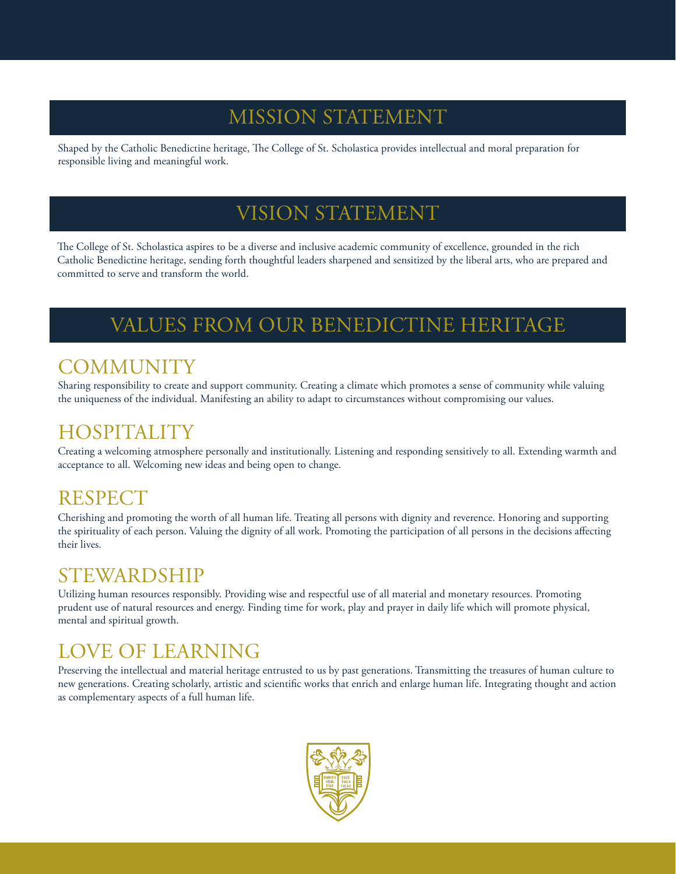## MISSION STATEMENT

Shaped by the Catholic Benedictine heritage, The College of St. Scholastica provides intellectual and moral preparation for responsible living and meaningful work.

## VISION STATEMENT

The College of St. Scholastica aspires to be a diverse and inclusive academic community of excellence, grounded in the rich Catholic Benedictine heritage, sending forth thoughtful leaders sharpened and sensitized by the liberal arts, who are prepared and committed to serve and transform the world.

## VALUES FROM OUR BENEDICTINE HERITAGE

### **COMMUNITY**

Sharing responsibility to create and support community. Creating a climate which promotes a sense of community while valuing the uniqueness of the individual. Manifesting an ability to adapt to circumstances without compromising our values.

### **HOSPITALITY**

Creating a welcoming atmosphere personally and institutionally. Listening and responding sensitively to all. Extending warmth and acceptance to all. Welcoming new ideas and being open to change.

## **RESPECT**

Cherishing and promoting the worth of all human life. Treating all persons with dignity and reverence. Honoring and supporting the spirituality of each person. Valuing the dignity of all work. Promoting the participation of all persons in the decisions affecting their lives.

### STEWARDSHIP

Utilizing human resources responsibly. Providing wise and respectful use of all material and monetary resources. Promoting prudent use of natural resources and energy. Finding time for work, play and prayer in daily life which will promote physical, mental and spiritual growth.

## LOVE OF LEARNING

Preserving the intellectual and material heritage entrusted to us by past generations. Transmitting the treasures of human culture to new generations. Creating scholarly, artistic and scientific works that enrich and enlarge human life. Integrating thought and action as complementary aspects of a full human life.

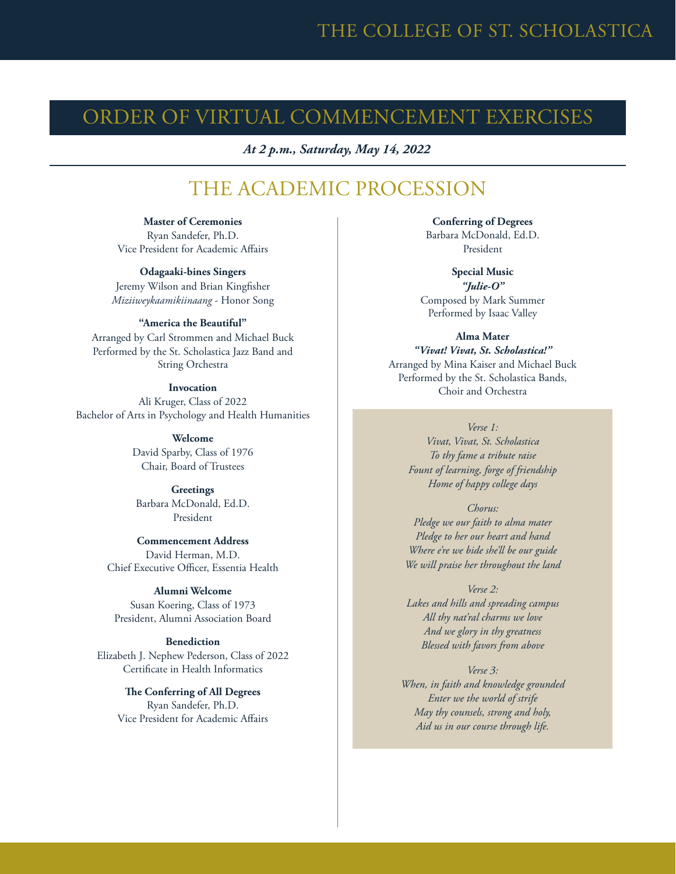### ORDER OF VIRTUAL COMMENCEMENT EXERCISES

*At 2 p.m., Saturday, May 14, 2022*

### THE ACADEMIC PROCESSION

**Master of Ceremonies** Ryan Sandefer, Ph.D. Vice President for Academic Affairs

**Odagaaki-bines Singers** Jeremy Wilson and Brian Kingfisher *Miziiweykaamikiinaang* - Honor Song

#### **"America the Beautiful"**

Arranged by Carl Strommen and Michael Buck Performed by the St. Scholastica Jazz Band and String Orchestra

#### **Invocation**

Ali Kruger, Class of 2022 Bachelor of Arts in Psychology and Health Humanities

> **Welcome** David Sparby, Class of 1976 Chair, Board of Trustees

**Greetings** Barbara McDonald, Ed.D. President

**Commencement Address** David Herman, M.D. Chief Executive Officer, Essentia Health

**Alumni Welcome** Susan Koering, Class of 1973 President, Alumni Association Board

#### **Benediction**

Elizabeth J. Nephew Pederson, Class of 2022 Certificate in Health Informatics

> **The Conferring of All Degrees** Ryan Sandefer, Ph.D. Vice President for Academic Affairs

**Conferring of Degrees** Barbara McDonald, Ed.D. President

**Special Music** *"Julie-O"* Composed by Mark Summer Performed by Isaac Valley

**Alma Mater** *"Vivat! Vivat, St. Scholastica!"* Arranged by Mina Kaiser and Michael Buck Performed by the St. Scholastica Bands, Choir and Orchestra

*Verse 1:*

*Vivat, Vivat, St. Scholastica To thy fame a tribute raise Fount of learning, forge of friendship Home of happy college days*

*Chorus: Pledge we our faith to alma mater Pledge to her our heart and hand Where e're we bide she'll be our guide We will praise her throughout the land*

*Verse 2: Lakes and hills and spreading campus All thy nat'ral charms we love And we glory in thy greatness Blessed with favors from above*

*Verse 3: When, in faith and knowledge grounded Enter we the world of strife May thy counsels, strong and holy, Aid us in our course through life.*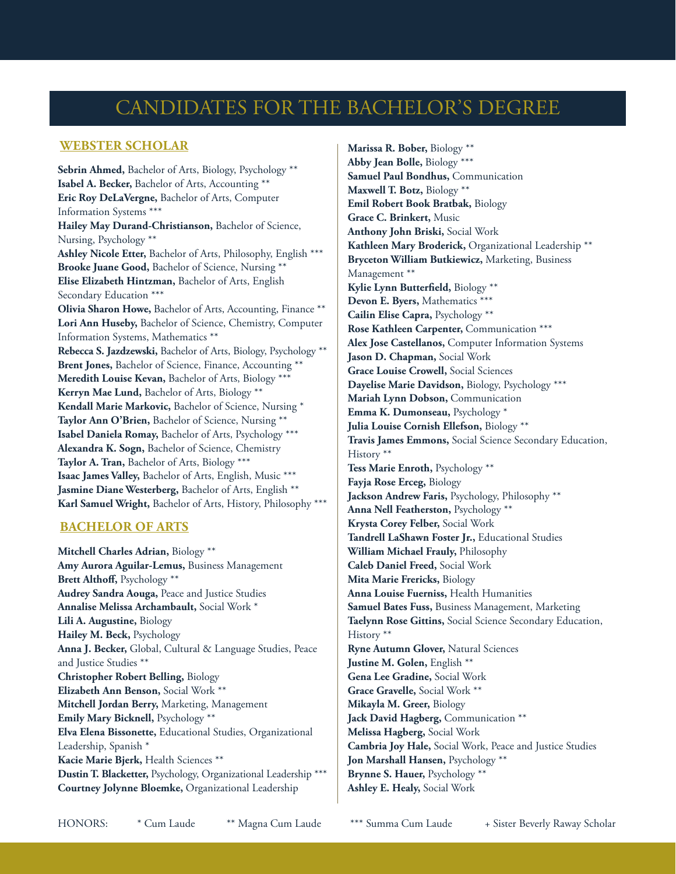## CANDIDATES FOR THE BACHELOR'S DEGREE

### **WEBSTER SCHOLAR**

**Sebrin Ahmed,** Bachelor of Arts, Biology, Psychology \*\* **Isabel A. Becker,** Bachelor of Arts, Accounting \*\* **Eric Roy DeLaVergne,** Bachelor of Arts, Computer Information Systems \*\*\* **Hailey May Durand-Christianson,** Bachelor of Science, Nursing, Psychology \*\* **Ashley Nicole Etter,** Bachelor of Arts, Philosophy, English \*\*\* **Brooke Juane Good,** Bachelor of Science, Nursing \*\* **Elise Elizabeth Hintzman,** Bachelor of Arts, English Secondary Education \*\*\* **Olivia Sharon Howe,** Bachelor of Arts, Accounting, Finance \*\* **Lori Ann Huseby,** Bachelor of Science, Chemistry, Computer Information Systems, Mathematics \*\* **Rebecca S. Jazdzewski,** Bachelor of Arts, Biology, Psychology \*\* Brent Jones, Bachelor of Science, Finance, Accounting \*\* **Meredith Louise Kevan,** Bachelor of Arts, Biology \*\*\* **Kerryn Mae Lund,** Bachelor of Arts, Biology \*\* **Kendall Marie Markovic,** Bachelor of Science, Nursing \* **Taylor Ann O'Brien,** Bachelor of Science, Nursing \*\* **Isabel Daniela Romay,** Bachelor of Arts, Psychology \*\*\* **Alexandra K. Sogn,** Bachelor of Science, Chemistry **Taylor A. Tran,** Bachelor of Arts, Biology \*\*\* **Isaac James Valley,** Bachelor of Arts, English, Music \*\*\* **Jasmine Diane Westerberg,** Bachelor of Arts, English \*\* **Karl Samuel Wright,** Bachelor of Arts, History, Philosophy \*\*\*

### **BACHELOR OF ARTS**

**Mitchell Charles Adrian,** Biology \*\* **Amy Aurora Aguilar-Lemus,** Business Management **Brett Althoff,** Psychology \*\* **Audrey Sandra Aouga,** Peace and Justice Studies **Annalise Melissa Archambault,** Social Work \* **Lili A. Augustine,** Biology **Hailey M. Beck,** Psychology **Anna J. Becker,** Global, Cultural & Language Studies, Peace and Justice Studies \*\* **Christopher Robert Belling,** Biology **Elizabeth Ann Benson,** Social Work \*\* **Mitchell Jordan Berry,** Marketing, Management **Emily Mary Bicknell,** Psychology \*\* **Elva Elena Bissonette,** Educational Studies, Organizational Leadership, Spanish \* **Kacie Marie Bjerk,** Health Sciences \*\* **Dustin T. Blacketter,** Psychology, Organizational Leadership \*\*\* **Courtney Jolynne Bloemke,** Organizational Leadership

**Marissa R. Bober,** Biology \*\* **Abby Jean Bolle,** Biology \*\*\* **Samuel Paul Bondhus,** Communication **Maxwell T. Botz,** Biology \*\* **Emil Robert Book Bratbak,** Biology **Grace C. Brinkert,** Music **Anthony John Briski,** Social Work **Kathleen Mary Broderick,** Organizational Leadership \*\* **Bryceton William Butkiewicz,** Marketing, Business Management \*\* **Kylie Lynn Butterfield,** Biology \*\* **Devon E. Byers,** Mathematics \*\*\* **Cailin Elise Capra,** Psychology \*\* **Rose Kathleen Carpenter,** Communication \*\*\* **Alex Jose Castellanos,** Computer Information Systems **Jason D. Chapman,** Social Work **Grace Louise Crowell,** Social Sciences **Dayelise Marie Davidson,** Biology, Psychology \*\*\* **Mariah Lynn Dobson,** Communication **Emma K. Dumonseau,** Psychology \* **Julia Louise Cornish Ellefson,** Biology \*\* **Travis James Emmons,** Social Science Secondary Education, History \*\* **Tess Marie Enroth,** Psychology \*\* **Fayja Rose Erceg,** Biology **Jackson Andrew Faris,** Psychology, Philosophy \*\* **Anna Nell Featherston,** Psychology \*\* **Krysta Corey Felber,** Social Work **Tandrell LaShawn Foster Jr.,** Educational Studies **William Michael Frauly,** Philosophy **Caleb Daniel Freed,** Social Work **Mita Marie Frericks,** Biology **Anna Louise Fuerniss,** Health Humanities **Samuel Bates Fuss,** Business Management, Marketing **Taelynn Rose Gittins,** Social Science Secondary Education, History \*\* **Ryne Autumn Glover,** Natural Sciences **Justine M. Golen,** English \*\* **Gena Lee Gradine,** Social Work **Grace Gravelle,** Social Work \*\* **Mikayla M. Greer,** Biology Jack David Hagberg, Communication \*\* **Melissa Hagberg,** Social Work **Cambria Joy Hale,** Social Work, Peace and Justice Studies **Jon Marshall Hansen,** Psychology \*\* **Brynne S. Hauer,** Psychology \*\* **Ashley E. Healy,** Social Work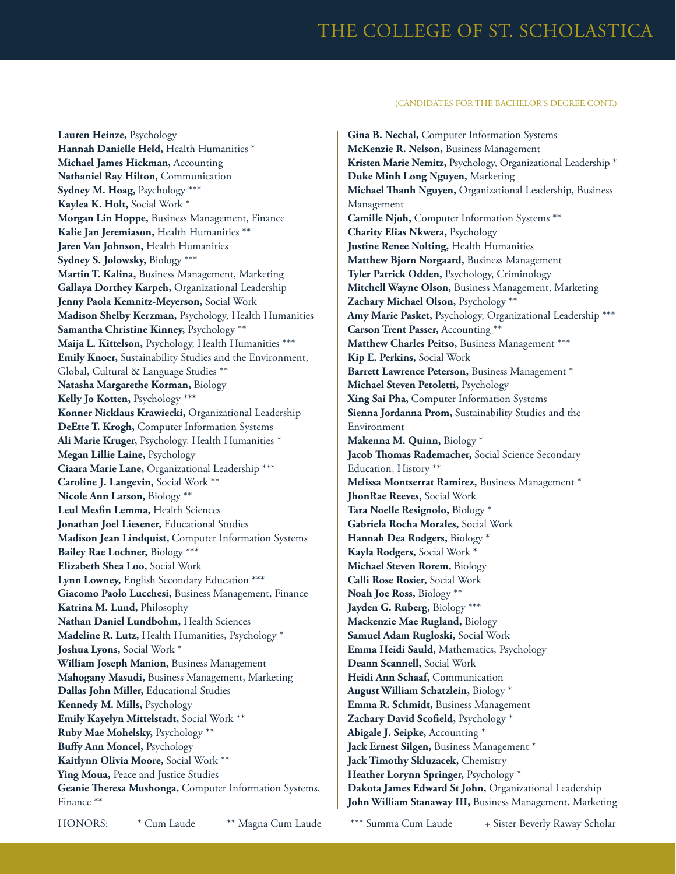**Lauren Heinze,** Psychology **Hannah Danielle Held,** Health Humanities \* **Michael James Hickman,** Accounting **Nathaniel Ray Hilton,** Communication **Sydney M. Hoag,** Psychology \*\*\* **Kaylea K. Holt,** Social Work \* **Morgan Lin Hoppe,** Business Management, Finance **Kalie Jan Jeremiason,** Health Humanities \*\* **Jaren Van Johnson,** Health Humanities **Sydney S. Jolowsky,** Biology \*\*\* **Martin T. Kalina,** Business Management, Marketing **Gallaya Dorthey Karpeh,** Organizational Leadership **Jenny Paola Kemnitz-Meyerson,** Social Work **Madison Shelby Kerzman,** Psychology, Health Humanities **Samantha Christine Kinney,** Psychology \*\* **Maija L. Kittelson,** Psychology, Health Humanities \*\*\* **Emily Knoer,** Sustainability Studies and the Environment, Global, Cultural & Language Studies \*\* **Natasha Margarethe Korman,** Biology **Kelly Jo Kotten,** Psychology \*\*\* **Konner Nicklaus Krawiecki,** Organizational Leadership **DeEtte T. Krogh,** Computer Information Systems **Ali Marie Kruger,** Psychology, Health Humanities \* **Megan Lillie Laine,** Psychology **Ciaara Marie Lane,** Organizational Leadership \*\*\* **Caroline J. Langevin,** Social Work \*\* **Nicole Ann Larson,** Biology \*\* **Leul Mesfin Lemma,** Health Sciences **Jonathan Joel Liesener,** Educational Studies **Madison Jean Lindquist,** Computer Information Systems **Bailey Rae Lochner,** Biology \*\*\* **Elizabeth Shea Loo,** Social Work **Lynn Lowney,** English Secondary Education \*\*\* **Giacomo Paolo Lucchesi,** Business Management, Finance **Katrina M. Lund,** Philosophy **Nathan Daniel Lundbohm,** Health Sciences **Madeline R. Lutz,** Health Humanities, Psychology \* **Joshua Lyons,** Social Work \* **William Joseph Manion,** Business Management **Mahogany Masudi,** Business Management, Marketing **Dallas John Miller,** Educational Studies **Kennedy M. Mills,** Psychology **Emily Kayelyn Mittelstadt,** Social Work \*\* **Ruby Mae Mohelsky,** Psychology \*\* **Buffy Ann Moncel,** Psychology **Kaitlynn Olivia Moore,** Social Work \*\* **Ying Moua,** Peace and Justice Studies **Geanie Theresa Mushonga,** Computer Information Systems, Finance \*\*

**Gina B. Nechal,** Computer Information Systems **McKenzie R. Nelson,** Business Management **Kristen Marie Nemitz,** Psychology, Organizational Leadership \* **Duke Minh Long Nguyen,** Marketing **Michael Thanh Nguyen,** Organizational Leadership, Business Management **Camille Njoh,** Computer Information Systems \*\* **Charity Elias Nkwera,** Psychology **Justine Renee Nolting,** Health Humanities **Matthew Bjorn Norgaard,** Business Management **Tyler Patrick Odden,** Psychology, Criminology **Mitchell Wayne Olson,** Business Management, Marketing **Zachary Michael Olson,** Psychology \*\* **Amy Marie Pasket,** Psychology, Organizational Leadership \*\*\* **Carson Trent Passer,** Accounting \*\* **Matthew Charles Peitso,** Business Management \*\*\* **Kip E. Perkins,** Social Work Barrett Lawrence Peterson, Business Management \* **Michael Steven Petoletti,** Psychology **Xing Sai Pha,** Computer Information Systems **Sienna Jordanna Prom,** Sustainability Studies and the Environment **Makenna M. Quinn,** Biology \* **Jacob Thomas Rademacher,** Social Science Secondary Education, History \*\* **Melissa Montserrat Ramirez,** Business Management \* **JhonRae Reeves,** Social Work **Tara Noelle Resignolo,** Biology \* **Gabriela Rocha Morales,** Social Work **Hannah Dea Rodgers,** Biology \* **Kayla Rodgers,** Social Work \* **Michael Steven Rorem,** Biology **Calli Rose Rosier,** Social Work **Noah Joe Ross,** Biology \*\* **Jayden G. Ruberg,** Biology \*\*\* **Mackenzie Mae Rugland,** Biology **Samuel Adam Rugloski,** Social Work **Emma Heidi Sauld,** Mathematics, Psychology **Deann Scannell,** Social Work **Heidi Ann Schaaf,** Communication **August William Schatzlein,** Biology \* **Emma R. Schmidt,** Business Management **Zachary David Scofield,** Psychology \* **Abigale J. Seipke,** Accounting \* **Jack Ernest Silgen,** Business Management \* **Jack Timothy Skluzacek,** Chemistry **Heather Lorynn Springer,** Psychology \* **Dakota James Edward St John,** Organizational Leadership **John William Stanaway III,** Business Management, Marketing

HONORS: \* Cum Laude \*\* Magna Cum Laude \*\*\* Summa Cum Laude + Sister Beverly Raway Scholar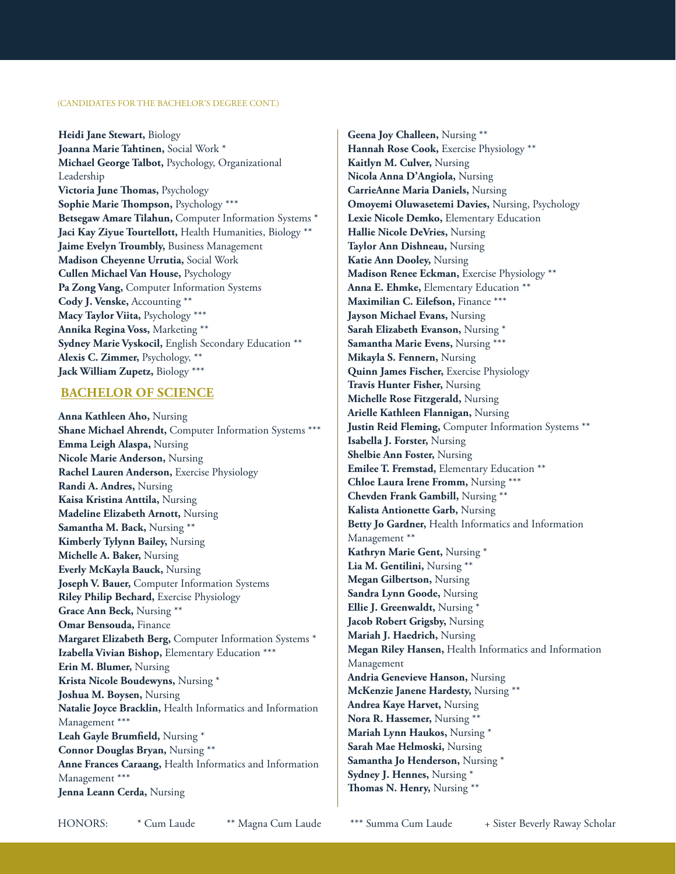**Heidi Jane Stewart,** Biology **Joanna Marie Tahtinen,** Social Work \* **Michael George Talbot,** Psychology, Organizational Leadership **Victoria June Thomas,** Psychology **Sophie Marie Thompson,** Psychology \*\*\* **Betsegaw Amare Tilahun,** Computer Information Systems \* **Jaci Kay Ziyue Tourtellott,** Health Humanities, Biology \*\* **Jaime Evelyn Troumbly,** Business Management **Madison Cheyenne Urrutia,** Social Work **Cullen Michael Van House,** Psychology **Pa Zong Vang,** Computer Information Systems **Cody J. Venske,** Accounting \*\* **Macy Taylor Viita,** Psychology \*\*\* **Annika Regina Voss,** Marketing \*\* **Sydney Marie Vyskocil,** English Secondary Education \*\* **Alexis C. Zimmer,** Psychology, \*\* **Jack William Zupetz,** Biology \*\*\*

#### **BACHELOR OF SCIENCE**

**Anna Kathleen Aho,** Nursing **Shane Michael Ahrendt,** Computer Information Systems \*\*\* **Emma Leigh Alaspa,** Nursing **Nicole Marie Anderson,** Nursing **Rachel Lauren Anderson,** Exercise Physiology **Randi A. Andres,** Nursing **Kaisa Kristina Anttila,** Nursing **Madeline Elizabeth Arnott,** Nursing **Samantha M. Back,** Nursing \*\* **Kimberly Tylynn Bailey,** Nursing **Michelle A. Baker,** Nursing **Everly McKayla Bauck,** Nursing **Joseph V. Bauer,** Computer Information Systems **Riley Philip Bechard,** Exercise Physiology **Grace Ann Beck,** Nursing \*\* **Omar Bensouda,** Finance **Margaret Elizabeth Berg,** Computer Information Systems \* **Izabella Vivian Bishop,** Elementary Education \*\*\* **Erin M. Blumer,** Nursing **Krista Nicole Boudewyns,** Nursing \* **Joshua M. Boysen,** Nursing **Natalie Joyce Bracklin,** Health Informatics and Information Management \*\*\* **Leah Gayle Brumfield,** Nursing \* **Connor Douglas Bryan,** Nursing \*\* **Anne Frances Caraang,** Health Informatics and Information Management \*\*\* **Jenna Leann Cerda,** Nursing

**Geena Joy Challeen,** Nursing \*\* **Hannah Rose Cook,** Exercise Physiology \*\* **Kaitlyn M. Culver,** Nursing **Nicola Anna D'Angiola,** Nursing **CarrieAnne Maria Daniels,** Nursing **Omoyemi Oluwasetemi Davies,** Nursing, Psychology **Lexie Nicole Demko,** Elementary Education **Hallie Nicole DeVries,** Nursing **Taylor Ann Dishneau,** Nursing **Katie Ann Dooley,** Nursing **Madison Renee Eckman,** Exercise Physiology \*\* **Anna E. Ehmke,** Elementary Education \*\* **Maximilian C. Eilefson,** Finance \*\*\* **Jayson Michael Evans,** Nursing **Sarah Elizabeth Evanson,** Nursing \* **Samantha Marie Evens,** Nursing \*\*\* **Mikayla S. Fennern,** Nursing **Quinn James Fischer,** Exercise Physiology **Travis Hunter Fisher,** Nursing **Michelle Rose Fitzgerald,** Nursing **Arielle Kathleen Flannigan,** Nursing **Justin Reid Fleming,** Computer Information Systems \*\* **Isabella J. Forster,** Nursing **Shelbie Ann Foster,** Nursing **Emilee T. Fremstad,** Elementary Education \*\* **Chloe Laura Irene Fromm,** Nursing \*\*\* **Chevden Frank Gambill,** Nursing \*\* **Kalista Antionette Garb,** Nursing **Betty Jo Gardner,** Health Informatics and Information Management \*\* **Kathryn Marie Gent,** Nursing \* **Lia M. Gentilini,** Nursing \*\* **Megan Gilbertson,** Nursing **Sandra Lynn Goode,** Nursing **Ellie J. Greenwaldt,** Nursing \* **Jacob Robert Grigsby,** Nursing **Mariah J. Haedrich,** Nursing **Megan Riley Hansen,** Health Informatics and Information Management **Andria Genevieve Hanson,** Nursing **McKenzie Janene Hardesty,** Nursing \*\* **Andrea Kaye Harvet,** Nursing **Nora R. Hassemer,** Nursing \*\* **Mariah Lynn Haukos,** Nursing \* **Sarah Mae Helmoski,** Nursing **Samantha Jo Henderson,** Nursing \* **Sydney J. Hennes,** Nursing \* **Thomas N. Henry,** Nursing \*\*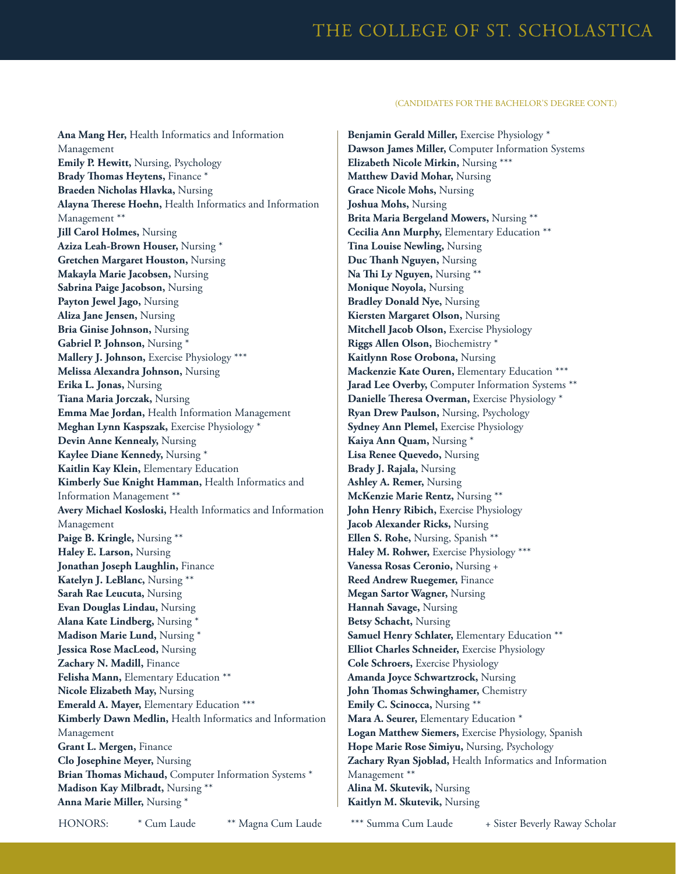**Ana Mang Her,** Health Informatics and Information Management **Emily P. Hewitt,** Nursing, Psychology **Brady Thomas Heytens,** Finance \* **Braeden Nicholas Hlavka,** Nursing **Alayna Therese Hoehn,** Health Informatics and Information Management \*\* **Jill Carol Holmes,** Nursing **Aziza Leah-Brown Houser,** Nursing \* **Gretchen Margaret Houston,** Nursing **Makayla Marie Jacobsen,** Nursing **Sabrina Paige Jacobson,** Nursing **Payton Jewel Jago,** Nursing **Aliza Jane Jensen,** Nursing **Bria Ginise Johnson,** Nursing **Gabriel P. Johnson,** Nursing \* **Mallery J. Johnson,** Exercise Physiology \*\*\* **Melissa Alexandra Johnson,** Nursing **Erika L. Jonas,** Nursing **Tiana Maria Jorczak,** Nursing **Emma Mae Jordan,** Health Information Management **Meghan Lynn Kaspszak,** Exercise Physiology \* **Devin Anne Kennealy,** Nursing **Kaylee Diane Kennedy,** Nursing \* **Kaitlin Kay Klein,** Elementary Education **Kimberly Sue Knight Hamman,** Health Informatics and Information Management \*\* **Avery Michael Kosloski,** Health Informatics and Information Management **Paige B. Kringle,** Nursing \*\* **Haley E. Larson,** Nursing **Jonathan Joseph Laughlin,** Finance **Katelyn J. LeBlanc,** Nursing \*\* **Sarah Rae Leucuta,** Nursing **Evan Douglas Lindau,** Nursing **Alana Kate Lindberg,** Nursing \* **Madison Marie Lund,** Nursing \* **Jessica Rose MacLeod,** Nursing **Zachary N. Madill,** Finance **Felisha Mann,** Elementary Education \*\* **Nicole Elizabeth May,** Nursing **Emerald A. Mayer,** Elementary Education \*\*\* **Kimberly Dawn Medlin,** Health Informatics and Information Management **Grant L. Mergen,** Finance **Clo Josephine Meyer,** Nursing **Brian Thomas Michaud,** Computer Information Systems \* **Madison Kay Milbradt,** Nursing \*\* **Anna Marie Miller,** Nursing \*

**Benjamin Gerald Miller,** Exercise Physiology \* **Dawson James Miller,** Computer Information Systems **Elizabeth Nicole Mirkin,** Nursing \*\*\* **Matthew David Mohar,** Nursing **Grace Nicole Mohs,** Nursing **Joshua Mohs,** Nursing **Brita Maria Bergeland Mowers,** Nursing \*\* **Cecilia Ann Murphy,** Elementary Education \*\* **Tina Louise Newling,** Nursing **Duc Thanh Nguyen,** Nursing **Na Thi Ly Nguyen,** Nursing \*\* **Monique Noyola,** Nursing **Bradley Donald Nye,** Nursing **Kiersten Margaret Olson,** Nursing **Mitchell Jacob Olson,** Exercise Physiology **Riggs Allen Olson,** Biochemistry \* **Kaitlynn Rose Orobona,** Nursing **Mackenzie Kate Ouren,** Elementary Education \*\*\* **Jarad Lee Overby,** Computer Information Systems \*\* **Danielle Theresa Overman,** Exercise Physiology \* **Ryan Drew Paulson,** Nursing, Psychology **Sydney Ann Plemel, Exercise Physiology Kaiya Ann Quam,** Nursing \* **Lisa Renee Quevedo,** Nursing **Brady J. Rajala,** Nursing **Ashley A. Remer,** Nursing **McKenzie Marie Rentz,** Nursing \*\* **John Henry Ribich,** Exercise Physiology **Jacob Alexander Ricks,** Nursing **Ellen S. Rohe,** Nursing, Spanish \*\* Haley M. Rohwer, Exercise Physiology \*\*\* **Vanessa Rosas Ceronio,** Nursing + **Reed Andrew Ruegemer,** Finance **Megan Sartor Wagner,** Nursing **Hannah Savage,** Nursing **Betsy Schacht,** Nursing **Samuel Henry Schlater,** Elementary Education \*\* **Elliot Charles Schneider,** Exercise Physiology **Cole Schroers,** Exercise Physiology **Amanda Joyce Schwartzrock,** Nursing **John Thomas Schwinghamer,** Chemistry **Emily C. Scinocca,** Nursing \*\* **Mara A. Seurer,** Elementary Education \* **Logan Matthew Siemers,** Exercise Physiology, Spanish **Hope Marie Rose Simiyu,** Nursing, Psychology **Zachary Ryan Sjoblad,** Health Informatics and Information Management \*\* **Alina M. Skutevik,** Nursing **Kaitlyn M. Skutevik,** Nursing

HONORS: \* Cum Laude \*\* Magna Cum Laude \*\*\* Summa Cum Laude + Sister Beverly Raway Scholar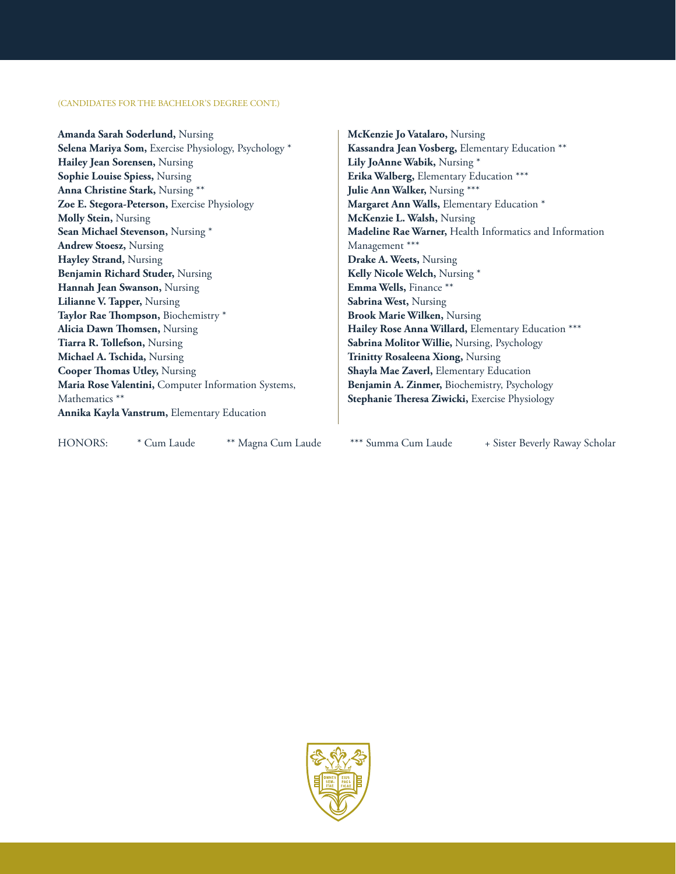**Amanda Sarah Soderlund,** Nursing **Selena Mariya Som,** Exercise Physiology, Psychology \* **Hailey Jean Sorensen,** Nursing **Sophie Louise Spiess,** Nursing **Anna Christine Stark,** Nursing \*\* **Zoe E. Stegora-Peterson,** Exercise Physiology **Molly Stein,** Nursing **Sean Michael Stevenson,** Nursing \* **Andrew Stoesz,** Nursing **Hayley Strand,** Nursing **Benjamin Richard Studer,** Nursing **Hannah Jean Swanson,** Nursing **Lilianne V. Tapper,** Nursing **Taylor Rae Thompson,** Biochemistry \* **Alicia Dawn Thomsen,** Nursing **Tiarra R. Tollefson,** Nursing **Michael A. Tschida,** Nursing **Cooper Thomas Utley,** Nursing **Maria Rose Valentini,** Computer Information Systems, Mathematics \*\* **Annika Kayla Vanstrum,** Elementary Education

**McKenzie Jo Vatalaro,** Nursing **Kassandra Jean Vosberg,** Elementary Education \*\* **Lily JoAnne Wabik,** Nursing \* **Erika Walberg,** Elementary Education \*\*\* **Julie Ann Walker,** Nursing \*\*\* **Margaret Ann Walls,** Elementary Education \* **McKenzie L. Walsh,** Nursing **Madeline Rae Warner,** Health Informatics and Information Management \*\*\* **Drake A. Weets,** Nursing **Kelly Nicole Welch,** Nursing \* **Emma Wells,** Finance \*\* **Sabrina West,** Nursing **Brook Marie Wilken,** Nursing **Hailey Rose Anna Willard,** Elementary Education \*\*\* **Sabrina Molitor Willie,** Nursing, Psychology **Trinitty Rosaleena Xiong,** Nursing **Shayla Mae Zaverl,** Elementary Education **Benjamin A. Zinmer,** Biochemistry, Psychology **Stephanie Theresa Ziwicki,** Exercise Physiology

HONORS: \* Cum Laude \*\* Magna Cum Laude \*\*\* Summa Cum Laude + Sister Beverly Raway Scholar

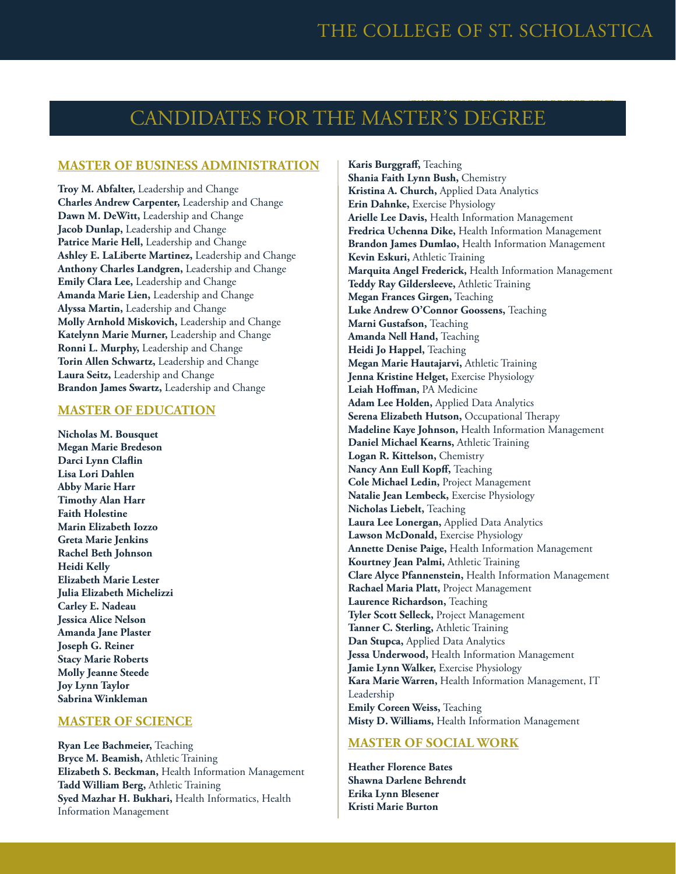### CANDIDATES FOR THE MASTER'S DEGREE

### **MASTER OF BUSINESS ADMINISTRATION**

**Troy M. Abfalter,** Leadership and Change **Charles Andrew Carpenter,** Leadership and Change **Dawn M. DeWitt,** Leadership and Change **Jacob Dunlap,** Leadership and Change **Patrice Marie Hell,** Leadership and Change **Ashley E. LaLiberte Martinez,** Leadership and Change **Anthony Charles Landgren,** Leadership and Change **Emily Clara Lee,** Leadership and Change **Amanda Marie Lien,** Leadership and Change **Alyssa Martin,** Leadership and Change **Molly Arnhold Miskovich,** Leadership and Change **Katelynn Marie Murner,** Leadership and Change **Ronni L. Murphy,** Leadership and Change **Torin Allen Schwartz,** Leadership and Change **Laura Seitz,** Leadership and Change **Brandon James Swartz,** Leadership and Change

#### **MASTER OF EDUCATION**

**Nicholas M. Bousquet Megan Marie Bredeson Darci Lynn Claflin Lisa Lori Dahlen Abby Marie Harr Timothy Alan Harr Faith Holestine Marin Elizabeth Iozzo Greta Marie Jenkins Rachel Beth Johnson Heidi Kelly Elizabeth Marie Lester Julia Elizabeth Michelizzi Carley E. Nadeau Jessica Alice Nelson Amanda Jane Plaster Joseph G. Reiner Stacy Marie Roberts Molly Jeanne Steede Joy Lynn Taylor Sabrina Winkleman**

### **MASTER OF SCIENCE**

**Ryan Lee Bachmeier,** Teaching **Bryce M. Beamish,** Athletic Training **Elizabeth S. Beckman,** Health Information Management **Tadd William Berg,** Athletic Training **Syed Mazhar H. Bukhari,** Health Informatics, Health Information Management

**Karis Burggraff,** Teaching **Shania Faith Lynn Bush,** Chemistry **Kristina A. Church,** Applied Data Analytics **Erin Dahnke,** Exercise Physiology **Arielle Lee Davis,** Health Information Management **Fredrica Uchenna Dike,** Health Information Management **Brandon James Dumlao,** Health Information Management **Kevin Eskuri,** Athletic Training **Marquita Angel Frederick,** Health Information Management **Teddy Ray Gildersleeve,** Athletic Training **Megan Frances Girgen,** Teaching **Luke Andrew O'Connor Goossens,** Teaching **Marni Gustafson,** Teaching **Amanda Nell Hand,** Teaching **Heidi Jo Happel,** Teaching **Megan Marie Hautajarvi,** Athletic Training **Jenna Kristine Helget,** Exercise Physiology **Leiah Hoffman,** PA Medicine **Adam Lee Holden,** Applied Data Analytics **Serena Elizabeth Hutson,** Occupational Therapy **Madeline Kaye Johnson,** Health Information Management **Daniel Michael Kearns,** Athletic Training **Logan R. Kittelson,** Chemistry **Nancy Ann Eull Kopff,** Teaching **Cole Michael Ledin,** Project Management **Natalie Jean Lembeck,** Exercise Physiology **Nicholas Liebelt,** Teaching **Laura Lee Lonergan,** Applied Data Analytics **Lawson McDonald,** Exercise Physiology **Annette Denise Paige,** Health Information Management **Kourtney Jean Palmi,** Athletic Training **Clare Alyce Pfannenstein,** Health Information Management **Rachael Maria Platt,** Project Management **Laurence Richardson,** Teaching **Tyler Scott Selleck,** Project Management **Tanner C. Sterling,** Athletic Training **Dan Stupca,** Applied Data Analytics **Jessa Underwood,** Health Information Management **Jamie Lynn Walker,** Exercise Physiology **Kara Marie Warren,** Health Information Management, IT Leadership **Emily Coreen Weiss,** Teaching **Misty D. Williams,** Health Information Management

### **MASTER OF SOCIAL WORK**

**Heather Florence Bates Shawna Darlene Behrendt Erika Lynn Blesener Kristi Marie Burton**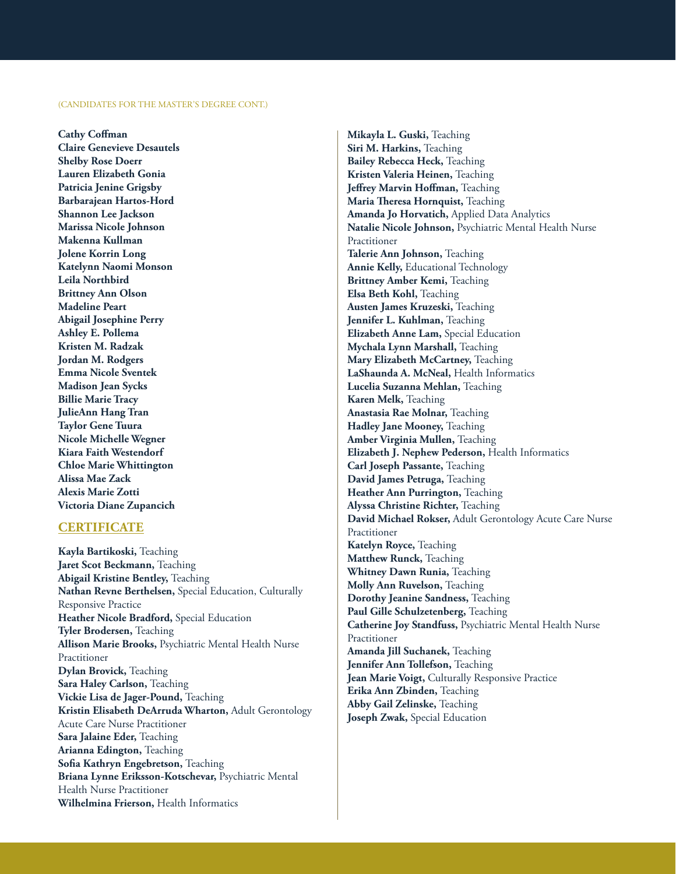**Cathy Coffman Claire Genevieve Desautels Shelby Rose Doerr Lauren Elizabeth Gonia Patricia Jenine Grigsby Barbarajean Hartos-Hord Shannon Lee Jackson Marissa Nicole Johnson Makenna Kullman Jolene Korrin Long Katelynn Naomi Monson Leila Northbird Brittney Ann Olson Madeline Peart Abigail Josephine Perry Ashley E. Pollema Kristen M. Radzak Jordan M. Rodgers Emma Nicole Sventek Madison Jean Sycks Billie Marie Tracy JulieAnn Hang Tran Taylor Gene Tuura Nicole Michelle Wegner Kiara Faith Westendorf Chloe Marie Whittington Alissa Mae Zack Alexis Marie Zotti Victoria Diane Zupancich**

#### **CERTIFICATE**

**Kayla Bartikoski,** Teaching **Jaret Scot Beckmann,** Teaching **Abigail Kristine Bentley,** Teaching **Nathan Revne Berthelsen,** Special Education, Culturally Responsive Practice **Heather Nicole Bradford,** Special Education **Tyler Brodersen,** Teaching **Allison Marie Brooks,** Psychiatric Mental Health Nurse Practitioner **Dylan Brovick,** Teaching **Sara Haley Carlson,** Teaching **Vickie Lisa de Jager-Pound,** Teaching **Kristin Elisabeth DeArruda Wharton,** Adult Gerontology Acute Care Nurse Practitioner **Sara Jalaine Eder,** Teaching **Arianna Edington,** Teaching **Sofia Kathryn Engebretson,** Teaching **Briana Lynne Eriksson-Kotschevar,** Psychiatric Mental Health Nurse Practitioner **Wilhelmina Frierson,** Health Informatics

**Mikayla L. Guski,** Teaching **Siri M. Harkins,** Teaching **Bailey Rebecca Heck,** Teaching **Kristen Valeria Heinen,** Teaching **Jeffrey Marvin Hoffman,** Teaching **Maria Theresa Hornquist,** Teaching **Amanda Jo Horvatich,** Applied Data Analytics **Natalie Nicole Johnson,** Psychiatric Mental Health Nurse Practitioner **Talerie Ann Johnson,** Teaching **Annie Kelly,** Educational Technology **Brittney Amber Kemi,** Teaching **Elsa Beth Kohl,** Teaching **Austen James Kruzeski,** Teaching **Jennifer L. Kuhlman,** Teaching **Elizabeth Anne Lam,** Special Education **Mychala Lynn Marshall,** Teaching **Mary Elizabeth McCartney,** Teaching **LaShaunda A. McNeal,** Health Informatics **Lucelia Suzanna Mehlan,** Teaching **Karen Melk,** Teaching **Anastasia Rae Molnar,** Teaching **Hadley Jane Mooney,** Teaching **Amber Virginia Mullen,** Teaching **Elizabeth J. Nephew Pederson,** Health Informatics **Carl Joseph Passante,** Teaching **David James Petruga,** Teaching **Heather Ann Purrington, Teaching Alyssa Christine Richter,** Teaching **David Michael Rokser,** Adult Gerontology Acute Care Nurse Practitioner **Katelyn Royce,** Teaching **Matthew Runck,** Teaching **Whitney Dawn Runia,** Teaching **Molly Ann Ruvelson,** Teaching **Dorothy Jeanine Sandness,** Teaching **Paul Gille Schulzetenberg,** Teaching **Catherine Joy Standfuss,** Psychiatric Mental Health Nurse Practitioner **Amanda Jill Suchanek,** Teaching **Jennifer Ann Tollefson,** Teaching **Jean Marie Voigt,** Culturally Responsive Practice **Erika Ann Zbinden,** Teaching **Abby Gail Zelinske,** Teaching **Joseph Zwak,** Special Education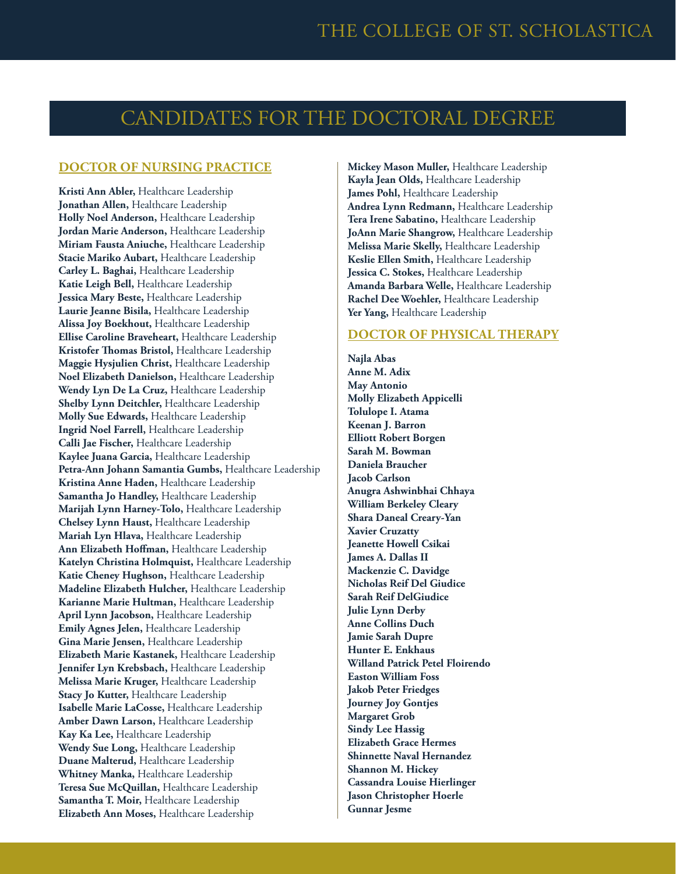### CANDIDATES FOR THE DOCTORAL DEGREE

### **DOCTOR OF NURSING PRACTICE**

**Kristi Ann Abler,** Healthcare Leadership **Jonathan Allen,** Healthcare Leadership **Holly Noel Anderson,** Healthcare Leadership **Jordan Marie Anderson,** Healthcare Leadership **Miriam Fausta Aniuche,** Healthcare Leadership **Stacie Mariko Aubart,** Healthcare Leadership **Carley L. Baghai,** Healthcare Leadership **Katie Leigh Bell,** Healthcare Leadership **Jessica Mary Beste,** Healthcare Leadership **Laurie Jeanne Bisila,** Healthcare Leadership **Alissa Joy Boekhout,** Healthcare Leadership **Ellise Caroline Braveheart,** Healthcare Leadership **Kristofer Thomas Bristol,** Healthcare Leadership **Maggie Hysjulien Christ,** Healthcare Leadership **Noel Elizabeth Danielson,** Healthcare Leadership **Wendy Lyn De La Cruz,** Healthcare Leadership **Shelby Lynn Deitchler,** Healthcare Leadership **Molly Sue Edwards,** Healthcare Leadership **Ingrid Noel Farrell,** Healthcare Leadership **Calli Jae Fischer,** Healthcare Leadership **Kaylee Juana Garcia,** Healthcare Leadership **Petra-Ann Johann Samantia Gumbs,** Healthcare Leadership **Kristina Anne Haden,** Healthcare Leadership **Samantha Jo Handley,** Healthcare Leadership **Marijah Lynn Harney-Tolo,** Healthcare Leadership **Chelsey Lynn Haust,** Healthcare Leadership **Mariah Lyn Hlava,** Healthcare Leadership **Ann Elizabeth Hoffman,** Healthcare Leadership **Katelyn Christina Holmquist,** Healthcare Leadership **Katie Cheney Hughson,** Healthcare Leadership **Madeline Elizabeth Hulcher,** Healthcare Leadership **Karianne Marie Hultman,** Healthcare Leadership **April Lynn Jacobson,** Healthcare Leadership **Emily Agnes Jelen,** Healthcare Leadership **Gina Marie Jensen,** Healthcare Leadership **Elizabeth Marie Kastanek,** Healthcare Leadership **Jennifer Lyn Krebsbach,** Healthcare Leadership **Melissa Marie Kruger,** Healthcare Leadership **Stacy Jo Kutter,** Healthcare Leadership **Isabelle Marie LaCosse,** Healthcare Leadership **Amber Dawn Larson,** Healthcare Leadership **Kay Ka Lee,** Healthcare Leadership **Wendy Sue Long,** Healthcare Leadership **Duane Malterud,** Healthcare Leadership **Whitney Manka,** Healthcare Leadership **Teresa Sue McQuillan,** Healthcare Leadership **Samantha T. Moir,** Healthcare Leadership **Elizabeth Ann Moses,** Healthcare Leadership

**Mickey Mason Muller,** Healthcare Leadership **Kayla Jean Olds,** Healthcare Leadership James Pohl, Healthcare Leadership **Andrea Lynn Redmann,** Healthcare Leadership **Tera Irene Sabatino,** Healthcare Leadership **JoAnn Marie Shangrow,** Healthcare Leadership **Melissa Marie Skelly,** Healthcare Leadership **Keslie Ellen Smith,** Healthcare Leadership **Jessica C. Stokes,** Healthcare Leadership **Amanda Barbara Welle,** Healthcare Leadership **Rachel Dee Woehler,** Healthcare Leadership Yer Yang, Healthcare Leadership

### **DOCTOR OF PHYSICAL THERAPY**

**Najla Abas Anne M. Adix May Antonio Molly Elizabeth Appicelli Tolulope I. Atama Keenan J. Barron Elliott Robert Borgen Sarah M. Bowman Daniela Braucher Jacob Carlson Anugra Ashwinbhai Chhaya William Berkeley Cleary Shara Daneal Creary-Yan Xavier Cruzatty Jeanette Howell Csikai James A. Dallas II Mackenzie C. Davidge Nicholas Reif Del Giudice Sarah Reif DelGiudice Julie Lynn Derby Anne Collins Duch Jamie Sarah Dupre Hunter E. Enkhaus Willand Patrick Petel Floirendo Easton William Foss Jakob Peter Friedges Journey Joy Gontjes Margaret Grob Sindy Lee Hassig Elizabeth Grace Hermes Shinnette Naval Hernandez Shannon M. Hickey Cassandra Louise Hierlinger Jason Christopher Hoerle Gunnar Jesme**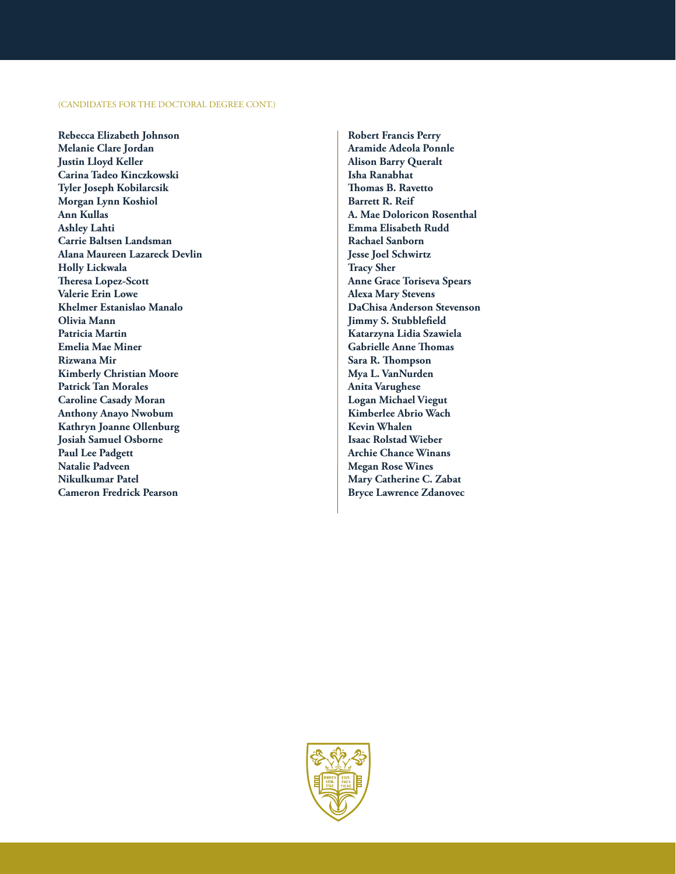#### (CANDIDATES FOR THE DOCTORAL DEGREE CONT.)

**Rebecca Elizabeth Johnson Melanie Clare Jordan Justin Lloyd Keller Carina Tadeo Kinczkowski Tyler Joseph Kobilarcsik Morgan Lynn Koshiol Ann Kullas Ashley Lahti Carrie Baltsen Landsman Alana Maureen Lazareck Devlin Holly Lickwala Theresa Lopez-Scott Valerie Erin Lowe Khelmer Estanislao Manalo Olivia Mann Patricia Martin Emelia Mae Miner Rizwana Mir Kimberly Christian Moore Patrick Tan Morales Caroline Casady Moran Anthony Anayo Nwobum Kathryn Joanne Ollenburg Josiah Samuel Osborne Paul Lee Padgett Natalie Padveen Nikulkumar Patel Cameron Fredrick Pearson**

**Robert Francis Perry Aramide Adeola Ponnle Alison Barry Queralt Isha Ranabhat Thomas B. Ravetto Barrett R. Reif A. Mae Doloricon Rosenthal Emma Elisabeth Rudd Rachael Sanborn Jesse Joel Schwirtz Tracy Sher Anne Grace Toriseva Spears Alexa Mary Stevens DaChisa Anderson Stevenson Jimmy S. Stubblefield Katarzyna Lidia Szawiela Gabrielle Anne Thomas Sara R. Thompson Mya L. VanNurden Anita Varughese Logan Michael Viegut Kimberlee Abrio Wach Kevin Whalen Isaac Rolstad Wieber Archie Chance Winans Megan Rose Wines Mary Catherine C. Zabat Bryce Lawrence Zdanovec**

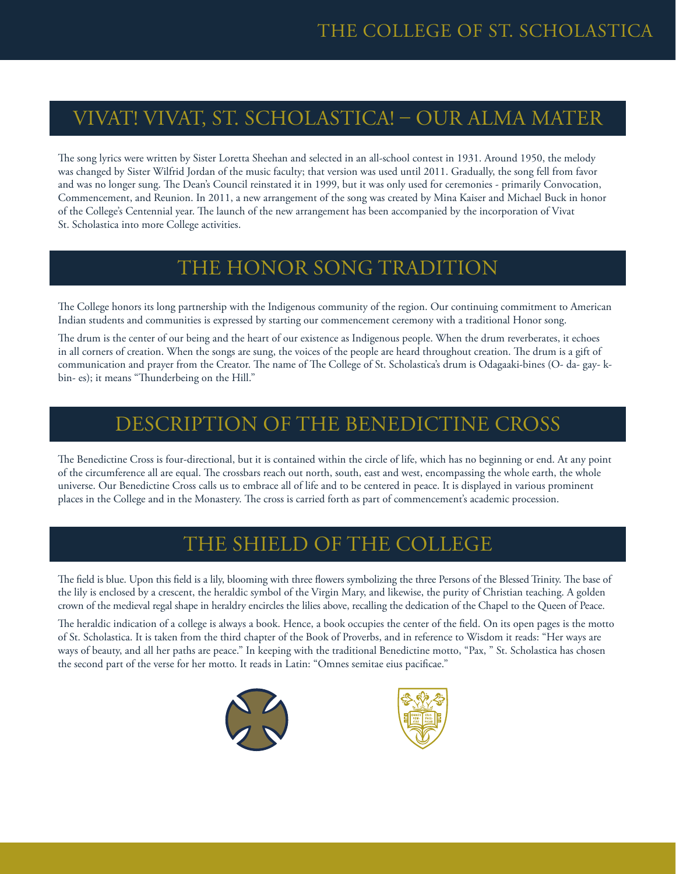## VIVAT! VIVAT, ST. SCHOLASTICA! – OUR ALMA MATER

The song lyrics were written by Sister Loretta Sheehan and selected in an all-school contest in 1931. Around 1950, the melody was changed by Sister Wilfrid Jordan of the music faculty; that version was used until 2011. Gradually, the song fell from favor and was no longer sung. The Dean's Council reinstated it in 1999, but it was only used for ceremonies - primarily Convocation, Commencement, and Reunion. In 2011, a new arrangement of the song was created by Mina Kaiser and Michael Buck in honor of the College's Centennial year. The launch of the new arrangement has been accompanied by the incorporation of Vivat St. Scholastica into more College activities.

### THE HONOR SONG TRADITION

The College honors its long partnership with the Indigenous community of the region. Our continuing commitment to American Indian students and communities is expressed by starting our commencement ceremony with a traditional Honor song.

The drum is the center of our being and the heart of our existence as Indigenous people. When the drum reverberates, it echoes in all corners of creation. When the songs are sung, the voices of the people are heard throughout creation. The drum is a gift of communication and prayer from the Creator. The name of The College of St. Scholastica's drum is Odagaaki-bines (O- da- gay- kbin- es); it means "Thunderbeing on the Hill."

### DESCRIPTION OF THE BENEDICTINE CROSS

The Benedictine Cross is four-directional, but it is contained within the circle of life, which has no beginning or end. At any point of the circumference all are equal. The crossbars reach out north, south, east and west, encompassing the whole earth, the whole universe. Our Benedictine Cross calls us to embrace all of life and to be centered in peace. It is displayed in various prominent places in the College and in the Monastery. The cross is carried forth as part of commencement's academic procession.

### THE SHIELD OF THE COLLEGE

The field is blue. Upon this field is a lily, blooming with three flowers symbolizing the three Persons of the Blessed Trinity. The base of the lily is enclosed by a crescent, the heraldic symbol of the Virgin Mary, and likewise, the purity of Christian teaching. A golden crown of the medieval regal shape in heraldry encircles the lilies above, recalling the dedication of the Chapel to the Queen of Peace.

The heraldic indication of a college is always a book. Hence, a book occupies the center of the field. On its open pages is the motto of St. Scholastica. It is taken from the third chapter of the Book of Proverbs, and in reference to Wisdom it reads: "Her ways are ways of beauty, and all her paths are peace." In keeping with the traditional Benedictine motto, "Pax, " St. Scholastica has chosen the second part of the verse for her motto. It reads in Latin: "Omnes semitae eius pacificae."



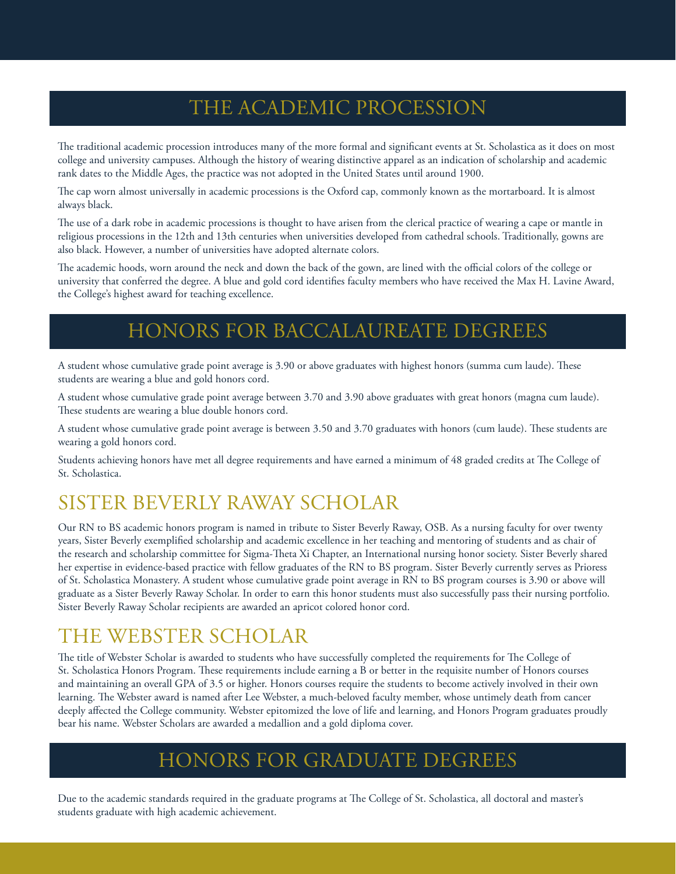## THE ACADEMIC PROCESSION

The traditional academic procession introduces many of the more formal and significant events at St. Scholastica as it does on most college and university campuses. Although the history of wearing distinctive apparel as an indication of scholarship and academic rank dates to the Middle Ages, the practice was not adopted in the United States until around 1900.

The cap worn almost universally in academic processions is the Oxford cap, commonly known as the mortarboard. It is almost always black.

The use of a dark robe in academic processions is thought to have arisen from the clerical practice of wearing a cape or mantle in religious processions in the 12th and 13th centuries when universities developed from cathedral schools. Traditionally, gowns are also black. However, a number of universities have adopted alternate colors.

The academic hoods, worn around the neck and down the back of the gown, are lined with the official colors of the college or university that conferred the degree. A blue and gold cord identifies faculty members who have received the Max H. Lavine Award, the College's highest award for teaching excellence.

## HONORS FOR BACCALAUREATE DEGREES

A student whose cumulative grade point average is 3.90 or above graduates with highest honors (summa cum laude). These students are wearing a blue and gold honors cord.

A student whose cumulative grade point average between 3.70 and 3.90 above graduates with great honors (magna cum laude). These students are wearing a blue double honors cord.

A student whose cumulative grade point average is between 3.50 and 3.70 graduates with honors (cum laude). These students are wearing a gold honors cord.

Students achieving honors have met all degree requirements and have earned a minimum of 48 graded credits at The College of St. Scholastica.

## SISTER BEVERLY RAWAY SCHOLAR

Our RN to BS academic honors program is named in tribute to Sister Beverly Raway, OSB. As a nursing faculty for over twenty years, Sister Beverly exemplified scholarship and academic excellence in her teaching and mentoring of students and as chair of the research and scholarship committee for Sigma-Theta Xi Chapter, an International nursing honor society. Sister Beverly shared her expertise in evidence-based practice with fellow graduates of the RN to BS program. Sister Beverly currently serves as Prioress of St. Scholastica Monastery. A student whose cumulative grade point average in RN to BS program courses is 3.90 or above will graduate as a Sister Beverly Raway Scholar. In order to earn this honor students must also successfully pass their nursing portfolio. Sister Beverly Raway Scholar recipients are awarded an apricot colored honor cord.

### THE WEBSTER SCHOLAR

The title of Webster Scholar is awarded to students who have successfully completed the requirements for The College of St. Scholastica Honors Program. These requirements include earning a B or better in the requisite number of Honors courses and maintaining an overall GPA of 3.5 or higher. Honors courses require the students to become actively involved in their own learning. The Webster award is named after Lee Webster, a much-beloved faculty member, whose untimely death from cancer deeply affected the College community. Webster epitomized the love of life and learning, and Honors Program graduates proudly bear his name. Webster Scholars are awarded a medallion and a gold diploma cover.

### HONORS FOR GRADUATE DEGREES

Due to the academic standards required in the graduate programs at The College of St. Scholastica, all doctoral and master's students graduate with high academic achievement.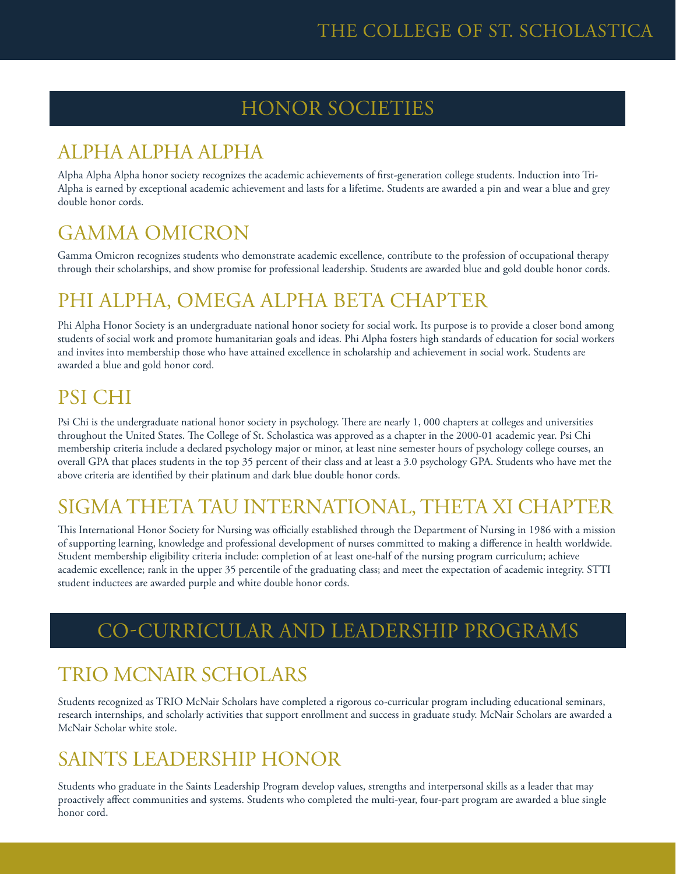## HONOR SOCIETIES

## ALPHA ALPHA ALPHA

Alpha Alpha Alpha honor society recognizes the academic achievements of first-generation college students. Induction into Tri-Alpha is earned by exceptional academic achievement and lasts for a lifetime. Students are awarded a pin and wear a blue and grey double honor cords.

## GAMMA OMICRON

Gamma Omicron recognizes students who demonstrate academic excellence, contribute to the profession of occupational therapy through their scholarships, and show promise for professional leadership. Students are awarded blue and gold double honor cords.

## PHI ALPHA, OMEGA ALPHA BETA CHAPTER

Phi Alpha Honor Society is an undergraduate national honor society for social work. Its purpose is to provide a closer bond among students of social work and promote humanitarian goals and ideas. Phi Alpha fosters high standards of education for social workers and invites into membership those who have attained excellence in scholarship and achievement in social work. Students are awarded a blue and gold honor cord.

## PSI CHI

Psi Chi is the undergraduate national honor society in psychology. There are nearly 1,000 chapters at colleges and universities throughout the United States. The College of St. Scholastica was approved as a chapter in the 2000-01 academic year. Psi Chi membership criteria include a declared psychology major or minor, at least nine semester hours of psychology college courses, an overall GPA that places students in the top 35 percent of their class and at least a 3.0 psychology GPA. Students who have met the above criteria are identified by their platinum and dark blue double honor cords.

## SIGMA THETA TAU INTERNATIONAL, THETA XI CHAPTER

This International Honor Society for Nursing was officially established through the Department of Nursing in 1986 with a mission of supporting learning, knowledge and professional development of nurses committed to making a difference in health worldwide. Student membership eligibility criteria include: completion of at least one-half of the nursing program curriculum; achieve academic excellence; rank in the upper 35 percentile of the graduating class; and meet the expectation of academic integrity. STTI student inductees are awarded purple and white double honor cords.

## CO-CURRICULAR AND LEADERSHIP PROGRAMS

## TRIO MCNAIR SCHOLARS

Students recognized as TRIO McNair Scholars have completed a rigorous co-curricular program including educational seminars, research internships, and scholarly activities that support enrollment and success in graduate study. McNair Scholars are awarded a McNair Scholar white stole.

## SAINTS LEADERSHIP HONOR

Students who graduate in the Saints Leadership Program develop values, strengths and interpersonal skills as a leader that may proactively affect communities and systems. Students who completed the multi-year, four-part program are awarded a blue single honor cord.